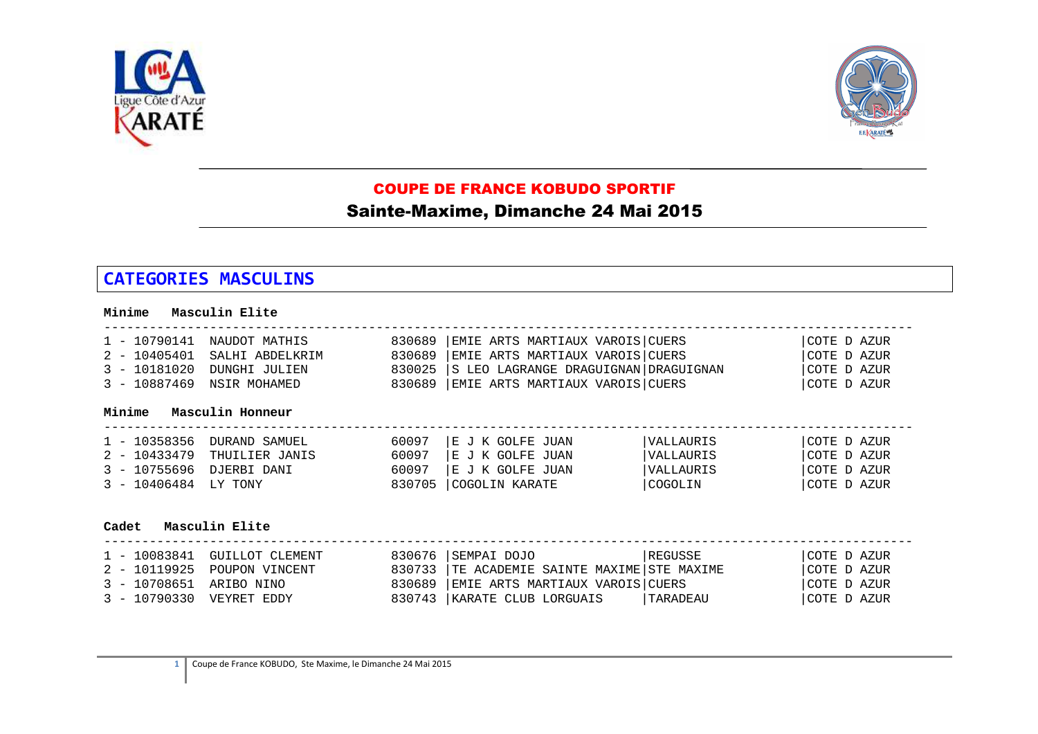



## COUPE DE FRANCE KOBUDO SPORTIF

## Sainte-Maxime, Dimanche 24 Mai 2015

## **CATEGORIES MASCULINS**

| Minime                                                               | Masculin Elite                                                        |                                      |                                                                                                                                               |                                                 |                                                            |  |
|----------------------------------------------------------------------|-----------------------------------------------------------------------|--------------------------------------|-----------------------------------------------------------------------------------------------------------------------------------------------|-------------------------------------------------|------------------------------------------------------------|--|
| $1 - 10790141$<br>$2 - 10405401$<br>$3 - 10181020$<br>$3 - 10887469$ | NAUDOT MATHIS<br>SALHI ABDELKRIM<br>DUNGHI JULIEN<br>NSIR MOHAMED     | 830689<br>830689<br>830025<br>830689 | EMIE ARTS MARTIAUX VAROIS CUERS<br>EMIE ARTS MARTIAUX VAROIS CUERS<br>S LEO LAGRANGE DRAGUIGNAN DRAGUIGNAN<br>EMIE ARTS MARTIAUX VAROIS CUERS |                                                 | COTE D AZUR<br>COTE D AZUR<br> COTE D AZUR<br> COTE D AZUR |  |
| Minime                                                               | Masculin Honneur                                                      |                                      |                                                                                                                                               |                                                 |                                                            |  |
| $1 - 10358356$<br>$2 - 10433479$<br>$3 - 10755696$<br>$3 - 10406484$ | DURAND SAMUEL<br>THUILIER JANIS<br>DJERBI DANI<br>LY TONY             | 60097<br>60097<br>60097<br>830705    | E J K GOLFE JUAN<br>E J K GOLFE JUAN<br>E J K GOLFE JUAN<br>COGOLIN KARATE                                                                    | VALLAURIS<br>VALLAURIS<br>VALLAURIS<br> COGOLIN | COTE D AZUR<br>COTE D AZUR<br>COTE D AZUR<br>COTE D AZUR   |  |
| Cadet Masculin Elite                                                 |                                                                       |                                      |                                                                                                                                               |                                                 |                                                            |  |
| $1 - 10083841$<br>$2 - 10119925$<br>$3 - 10708651$<br>$3 - 10790330$ | <b>GUILLOT CLEMENT</b><br>POUPON VINCENT<br>ARIBO NINO<br>VEYRET EDDY | 830676<br>830733<br>830689<br>830743 | SEMPAI DOJO<br>TE ACADEMIE SAINTE MAXIME STE MAXIME<br>EMIE ARTS MARTIAUX VAROIS CUERS<br>KARATE CLUB LORGUAIS                                | REGUSSE<br>TARADEAU                             | COTE D AZUR<br>COTE D AZUR<br>COTE D AZUR<br>COTE D AZUR   |  |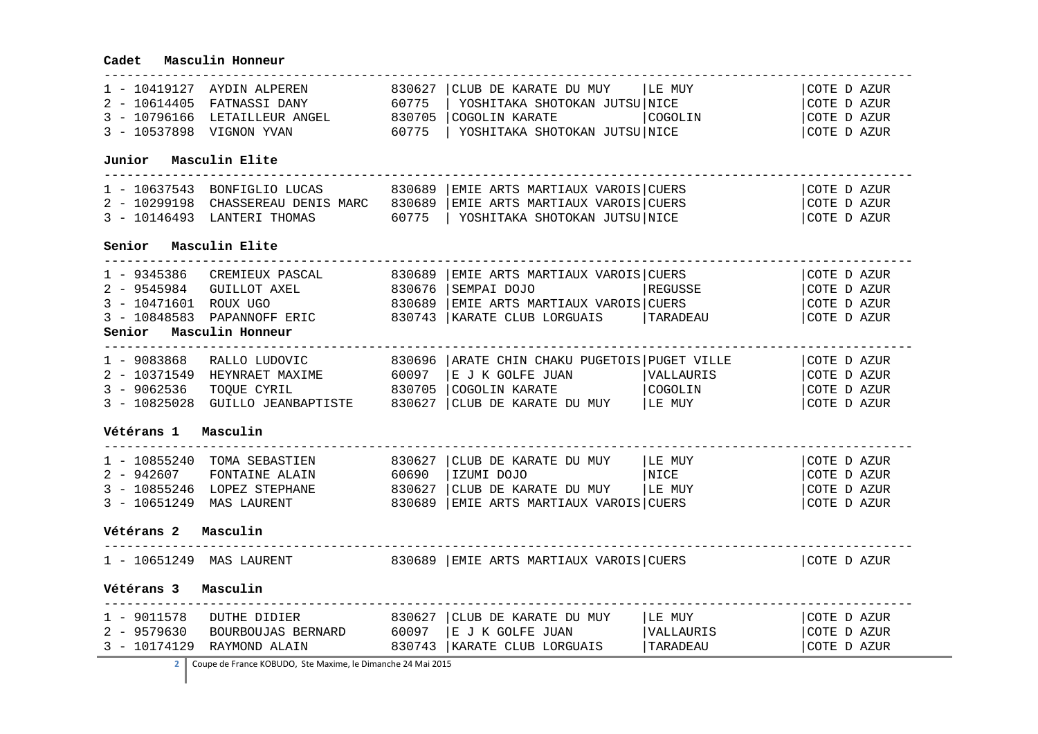## **Cadet Masculin Honneur**

|                          |                                                                                                                                              |  | 1 - 10419127 AYDIN ALPEREN 830627  CLUB DE KARATE DU MUY   LE MUY<br>2 - 10614405 FATNASSI DANY 60775   YOSHITAKA SHOTOKAN JUTSU NICE<br>3 - 10796166 LETAILLEUR ANGEL 830705   COGOLIN KARATE   COGOLIN |           | COTE D AZUR |  |  |
|--------------------------|----------------------------------------------------------------------------------------------------------------------------------------------|--|----------------------------------------------------------------------------------------------------------------------------------------------------------------------------------------------------------|-----------|-------------|--|--|
|                          |                                                                                                                                              |  |                                                                                                                                                                                                          |           | COTE D AZUR |  |  |
|                          |                                                                                                                                              |  |                                                                                                                                                                                                          |           | COTE D AZUR |  |  |
| 3 - 10537898 VIGNON YVAN |                                                                                                                                              |  | $60775$   YOSHITAKA SHOTOKAN JUTSU NICE                                                                                                                                                                  |           | COTE D AZUR |  |  |
| Junior Masculin Elite    |                                                                                                                                              |  |                                                                                                                                                                                                          |           |             |  |  |
|                          |                                                                                                                                              |  | 1 - 10637543 BONFIGLIO LUCAS 830689   EMIE ARTS MARTIAUX VAROIS   CUERS                                                                                                                                  |           | COTE D AZUR |  |  |
|                          |                                                                                                                                              |  | 2 - 10299198 CHASSEREAU DENIS MARC 830689 EMIE ARTS MARTIAUX VAROIS CUERS                                                                                                                                |           | COTE D AZUR |  |  |
|                          |                                                                                                                                              |  | 3 - 10146493 LANTERI THOMAS 60775   YOSHITAKA SHOTOKAN JUTSU NICE                                                                                                                                        |           | COTE D AZUR |  |  |
| Senior Masculin Elite    |                                                                                                                                              |  |                                                                                                                                                                                                          |           |             |  |  |
|                          |                                                                                                                                              |  | 1 - 9345386 CREMIEUX PASCAL 830689   EMIE ARTS MARTIAUX VAROIS   CUERS                                                                                                                                   |           | COTE D AZUR |  |  |
|                          | 2 - 9545984 GUILLOT AXEL 830676 SEMPAI DOJO                                                                                                  |  |                                                                                                                                                                                                          | REGUSSE   | COTE D AZUR |  |  |
|                          |                                                                                                                                              |  | $3 - 10471601$ ROUX UGO<br>$3 - 10848583$ PAPE RIC 330689 EMIE ARTS MARTIAUX VAROIS CUERS<br>$4 - 10848583$ PAPE RIC 330743 KARATE CLUB LORGUAIS TARADEAU                                                |           | COTE D AZUR |  |  |
|                          |                                                                                                                                              |  |                                                                                                                                                                                                          |           | COTE D AZUR |  |  |
| Senior Masculin Honneur  |                                                                                                                                              |  |                                                                                                                                                                                                          |           |             |  |  |
|                          |                                                                                                                                              |  |                                                                                                                                                                                                          |           |             |  |  |
|                          |                                                                                                                                              |  | 1 - 9083868 RALLO LUDOVIC 830696   ARATE CHIN CHAKU PUGETOIS   PUGET VILLE                                                                                                                               |           | COTE D AZUR |  |  |
|                          |                                                                                                                                              |  | 2 - 10371549 HEYNRAET MAXIME 60097  E J K GOLFE JUAN                                                                                                                                                     | VALLAURIS | COTE D AZUR |  |  |
|                          |                                                                                                                                              |  |                                                                                                                                                                                                          |           | COTE D AZUR |  |  |
|                          |                                                                                                                                              |  | 3 - 9062536 TOQUE CYRIL 830705 COGOLIN KARATE (COGOLIN )<br>3 - 10825028 GUILLO JEANBAPTISTE 830627 CLUB DE KARATE DU MUY  LE MUY                                                                        |           | COTE D AZUR |  |  |
| Vétérans 1 Masculin      |                                                                                                                                              |  |                                                                                                                                                                                                          |           |             |  |  |
|                          |                                                                                                                                              |  | $1$ - 10855240 TOMA SEBASTIEN 830627   CLUB DE KARATE DU MUY   LE MUY                                                                                                                                    |           | COTE D AZUR |  |  |
|                          |                                                                                                                                              |  |                                                                                                                                                                                                          |           | COTE D AZUR |  |  |
|                          |                                                                                                                                              |  |                                                                                                                                                                                                          |           | COTE D AZUR |  |  |
|                          |                                                                                                                                              |  | 2 - 942607 FONTAINE ALAIN 60690  IZUMI DOJO   NICE<br>3 - 10855246 LOPEZ STEPHANE 830627  CLUB DE KARATE DU MUY   LE MUY<br>3 - 10651249 MAS LAURENT 830689   EMIE ARTS MARTIAUX VAROIS   CUERS          |           | COTE D AZUR |  |  |
| Vétérans 2 Masculin      |                                                                                                                                              |  |                                                                                                                                                                                                          |           |             |  |  |
|                          |                                                                                                                                              |  | 1 - 10651249 MAS LAURENT 630689 EMIE ARTS MARTIAUX VAROIS CUERS                                                                                                                                          |           | COTE D AZUR |  |  |
| Vétérans 3<br>Masculin   |                                                                                                                                              |  |                                                                                                                                                                                                          |           |             |  |  |
|                          | 1 - 3011578 DUTHE DIDIER<br>2 - 9579630 BOURBOUJAS BERNARD 60097 E J K GOLFE JUAN<br>3 - 10174129 RAYMOND ALAIN 830743 KARATE CLIB LOBOUTATO |  |                                                                                                                                                                                                          | LE MUY    | COTE D AZUR |  |  |
|                          |                                                                                                                                              |  |                                                                                                                                                                                                          | VALLAURIS | COTE D AZUR |  |  |
|                          |                                                                                                                                              |  | 830743   KARATE CLUB LORGUAIS                                                                                                                                                                            | TARADEAU  | COTE D AZUR |  |  |
|                          |                                                                                                                                              |  |                                                                                                                                                                                                          |           |             |  |  |

۰

**2** Coupe de France KOBUDO, Ste Maxime, le Dimanche 24 Mai 2015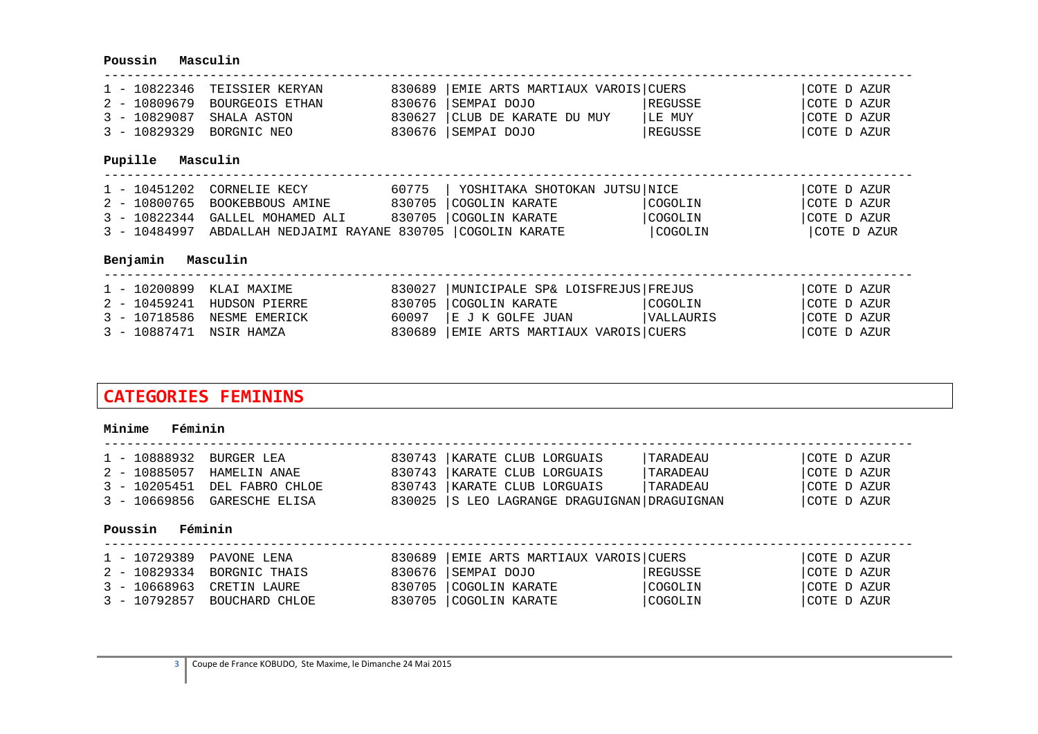## **Poussin Masculin**

|                          | 1 - 10822346 TEISSIER KERYAN | 830689 EMIE ARTS MARTIAUX VAROIS CUERS |         | COTE D AZUR |
|--------------------------|------------------------------|----------------------------------------|---------|-------------|
|                          | 2 - 10809679 BOURGEOIS ETHAN | 830676 SEMPAI DOJO                     | REGUSSE | COTE D AZUR |
| 3 - 10829087 SHALA ASTON |                              | 830627 CLUB DE KARATE DU MUY           | ILE MUY | COTE D AZUR |
| 3 - 10829329 BORGNIC NEO |                              | 830676  SEMPAI DOJO                    | REGUSSE | COTE D AZUR |

#### **Pupille Masculin**

| 1 - 10451202 CORNELIE KECY                                    | 60775   YOSHITAKA SHOTOKAN JUTSU NICE |         | COTE D AZUR |
|---------------------------------------------------------------|---------------------------------------|---------|-------------|
| 2 - 10800765 BOOKEBBOUS AMINE                                 | 830705   COGOLIN KARATE               | COGOLIN | COTE D AZUR |
| 3 - 10822344 GALLEL MOHAMED ALI                               | 830705 COGOLIN KARATE                 | COGOLIN | COTE D AZUR |
| 3 - 10484997 ABDALLAH NEDJAIMI RAYANE 830705   COGOLIN KARATE |                                       | COGOLIN | COTE D AZUR |

#### **Benjamin Masculin**

| 830027   MUNICIPALE SP& LOISFREJUS   FREJUS<br>1 - 10200899 KLAI MAXIME          | COTE D AZUR |
|----------------------------------------------------------------------------------|-------------|
| 830705 COGOLIN KARATE<br>COGOLIN<br>2 - 10459241 HUDSON PIERRE                   | COTE D AZUR |
| 60097  E J K GOLFE JUAN<br><i><b>SALLAURIS</b></i><br>3 - 10718586 NESME EMERICK | COTE D AZUR |
| 830689 EMIE ARTS MARTIAUX VAROIS CUERS<br>3 - 10887471 NSIR HAMZA                | COTE D AZUR |

# **CATEGORIES FEMININS**

#### **Minime Féminin**

| 1 - 10888932 BURGER LEA |                              | 830743   KARATE CLUB LORGUAIS               | TARADEAU        | COTE D AZUR |
|-------------------------|------------------------------|---------------------------------------------|-----------------|-------------|
|                         | 2 - 10885057 HAMELIN ANAE    | 830743   KARATE CLUB LORGUAIS               | TARADEAU        | COTE D AZUR |
|                         | 3 - 10205451 DEL FABRO CHLOE | 830743   KARATE CLUB LORGUAIS               | <i>TARADEAU</i> | COTE D AZUR |
|                         | 3 - 10669856 GARESCHE ELISA  | 830025 S LEO LAGRANGE DRAGUIGNAN DRAGUIGNAN |                 | COTE D AZUR |

#### **Poussin Féminin**

| 1 - 10729389 PAVONE LENA |                             | 830689 EMIE ARTS MARTIAUX VAROIS CUERS |         | COTE D AZUR |
|--------------------------|-----------------------------|----------------------------------------|---------|-------------|
|                          | 2 - 10829334 BORGNIC THAIS  | 830676  SEMPAI DOJO                    | REGUSSE | COTE D AZUR |
|                          | 3 - 10668963 CRETIN LAURE   | 830705 COGOLIN KARATE                  | COGOLIN | COTE D AZUR |
|                          | 3 - 10792857 BOUCHARD CHLOE | 830705 COGOLIN KARATE                  | COGOLIN | COTE D AZUR |